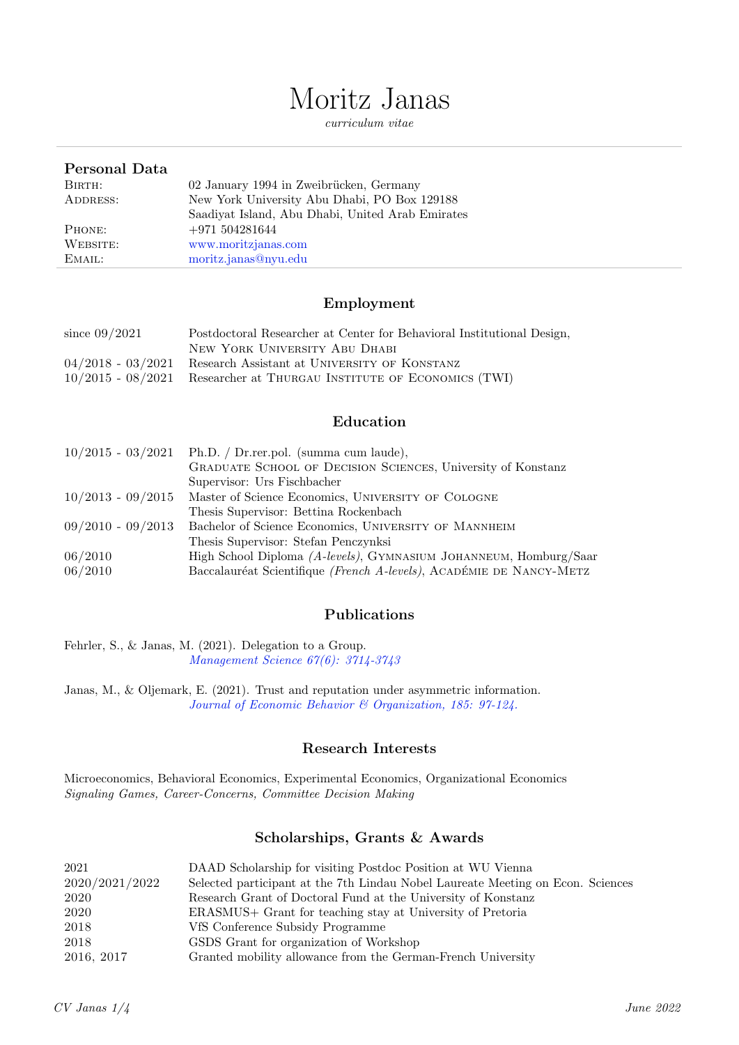# Moritz Janas

curriculum vitae

| Personal Data |                                                  |
|---------------|--------------------------------------------------|
| BIRTH:        | 02 January 1994 in Zweibrücken, Germany          |
| ADDRESS:      | New York University Abu Dhabi, PO Box 129188     |
|               | Saadiyat Island, Abu Dhabi, United Arab Emirates |
| PHONE:        | $+971504281644$                                  |
| WEBSITE:      | www.moritzjanas.com                              |
| EMAIL:        | moritz.janas@nyu.edu                             |

### Employment

| since $09/2021$ | Postdoctoral Researcher at Center for Behavioral Institutional Design, |
|-----------------|------------------------------------------------------------------------|
|                 | NEW YORK UNIVERSITY ABU DHABI                                          |
|                 | $04/2018$ - $03/2021$ Research Assistant at UNIVERSITY OF KONSTANZ     |
|                 | 10/2015 - 08/2021 Researcher at THURGAU INSTITUTE OF ECONOMICS (TWI)   |

### Education

|                     | $10/2015 - 03/2021$ Ph.D. / Dr.rer.pol. (summa cum laude),          |
|---------------------|---------------------------------------------------------------------|
|                     | GRADUATE SCHOOL OF DECISION SCIENCES, University of Konstanz        |
|                     | Supervisor: Urs Fischbacher                                         |
| $10/2013 - 09/2015$ | Master of Science Economics, UNIVERSITY OF COLOGNE                  |
|                     | Thesis Supervisor: Bettina Rockenbach                               |
| $09/2010 - 09/2013$ | Bachelor of Science Economics, UNIVERSITY OF MANNHEIM               |
|                     | Thesis Supervisor: Stefan Penczynksi                                |
| 06/2010             | High School Diploma (A-levels), GYMNASIUM JOHANNEUM, Homburg/Saar   |
| 06/2010             | Baccalauréat Scientifique (French A-levels), ACADÉMIE DE NANCY-METZ |
|                     |                                                                     |

### Publications

Fehrler, S., & Janas, M. (2021). Delegation to a Group. [Management Science 67\(6\): 3714-3743](https://doi.org/10.1287/mnsc.2020.3665)

Janas, M., & Oljemark, E. (2021). Trust and reputation under asymmetric information. [Journal of Economic Behavior & Organization, 185: 97-124.](https://doi.org/10.1016/j.jebo.2021.02.023)

#### Research Interests

Microeconomics, Behavioral Economics, Experimental Economics, Organizational Economics Signaling Games, Career-Concerns, Committee Decision Making

### Scholarships, Grants & Awards

| 2021           | DAAD Scholarship for visiting Postdoc Position at WU Vienna                     |
|----------------|---------------------------------------------------------------------------------|
| 2020/2021/2022 | Selected participant at the 7th Lindau Nobel Laureate Meeting on Econ. Sciences |
| 2020           | Research Grant of Doctoral Fund at the University of Konstanz                   |
| 2020           | ERASMUS+ Grant for teaching stay at University of Pretoria                      |
| 2018           | VfS Conference Subsidy Programme                                                |
| 2018           | GSDS Grant for organization of Workshop                                         |
| 2016, 2017     | Granted mobility allowance from the German-French University                    |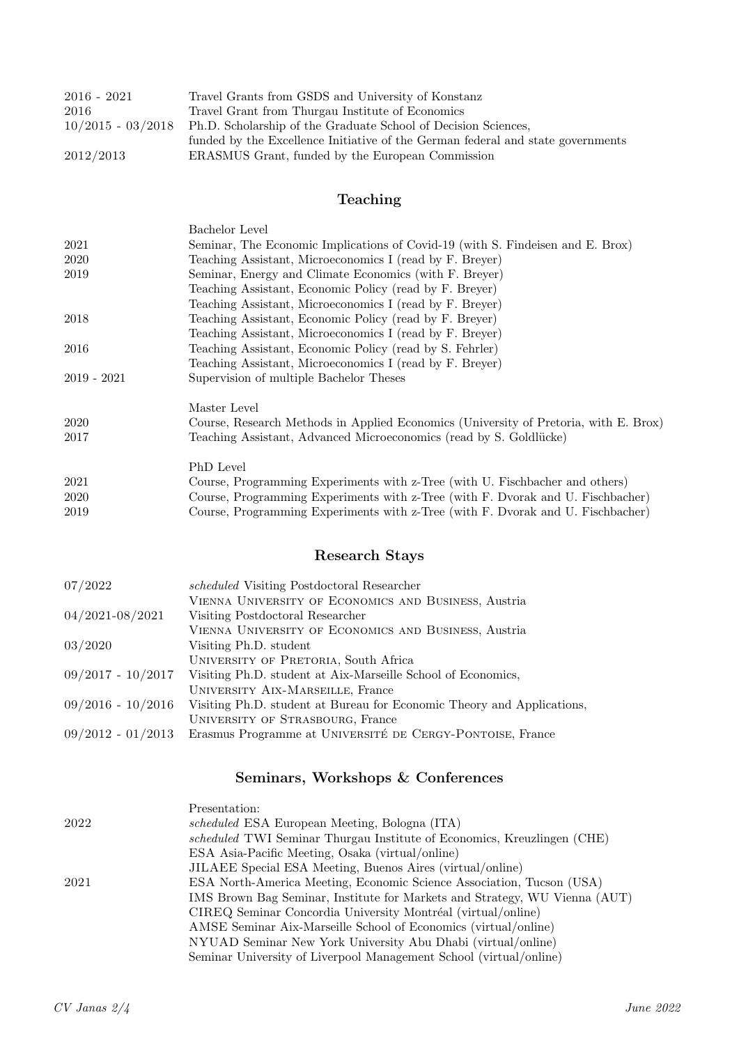| $2016 - 2021$       | Travel Grants from GSDS and University of Konstanz                              |
|---------------------|---------------------------------------------------------------------------------|
| 2016                | Travel Grant from Thurgau Institute of Economics                                |
| $10/2015 - 03/2018$ | Ph.D. Scholarship of the Graduate School of Decision Sciences,                  |
|                     | funded by the Excellence Initiative of the German federal and state governments |
| 2012/2013           | ERASMUS Grant, funded by the European Commission                                |

### Teaching

|               | Bachelor Level                                                                       |
|---------------|--------------------------------------------------------------------------------------|
| 2021          | Seminar, The Economic Implications of Covid-19 (with S. Findeisen and E. Brox)       |
| 2020          | Teaching Assistant, Microeconomics I (read by F. Breyer)                             |
| 2019          | Seminar, Energy and Climate Economics (with F. Breyer)                               |
|               | Teaching Assistant, Economic Policy (read by F. Breyer)                              |
|               | Teaching Assistant, Microeconomics I (read by F. Breyer)                             |
| 2018          | Teaching Assistant, Economic Policy (read by F. Breyer)                              |
|               | Teaching Assistant, Microeconomics I (read by F. Breyer)                             |
| 2016          | Teaching Assistant, Economic Policy (read by S. Fehrler)                             |
|               | Teaching Assistant, Microeconomics I (read by F. Breyer)                             |
| $2019 - 2021$ | Supervision of multiple Bachelor Theses                                              |
|               | Master Level                                                                         |
| 2020          | Course, Research Methods in Applied Economics (University of Pretoria, with E. Brox) |
| 2017          | Teaching Assistant, Advanced Microeconomics (read by S. Goldlücke)                   |
|               | PhD Level                                                                            |
| 2021          | Course, Programming Experiments with z-Tree (with U. Fischbacher and others)         |
| 2020          | Course, Programming Experiments with z-Tree (with F. Dvorak and U. Fischbacher)      |
| 2019          | Course, Programming Experiments with z-Tree (with F. Dvorak and U. Fischbacher)      |
|               |                                                                                      |

# Research Stays

| 07/2022             | scheduled Visiting Postdoctoral Researcher                             |
|---------------------|------------------------------------------------------------------------|
|                     | VIENNA UNIVERSITY OF ECONOMICS AND BUSINESS, Austria                   |
| 04/2021-08/2021     | Visiting Postdoctoral Researcher                                       |
|                     | VIENNA UNIVERSITY OF ECONOMICS AND BUSINESS, Austria                   |
| 03/2020             | Visiting Ph.D. student                                                 |
|                     | UNIVERSITY OF PRETORIA, South Africa                                   |
| $09/2017 - 10/2017$ | Visiting Ph.D. student at Aix-Marseille School of Economics,           |
|                     | UNIVERSITY AIX-MARSEILLE, France                                       |
| $09/2016 - 10/2016$ | Visiting Ph.D. student at Bureau for Economic Theory and Applications, |
|                     | UNIVERSITY OF STRASBOURG, France                                       |
| $09/2012 - 01/2013$ | Erasmus Programme at UNIVERSITÉ DE CERGY-PONTOISE, France              |

## Seminars, Workshops & Conferences

|      | Presentation:                                                              |
|------|----------------------------------------------------------------------------|
| 2022 | scheduled ESA European Meeting, Bologna (ITA)                              |
|      | scheduled TWI Seminar Thurgau Institute of Economics, Kreuzlingen (CHE)    |
|      | ESA Asia-Pacific Meeting, Osaka (virtual/online)                           |
|      | JILAEE Special ESA Meeting, Buenos Aires (virtual/online)                  |
| 2021 | ESA North-America Meeting, Economic Science Association, Tucson (USA)      |
|      | IMS Brown Bag Seminar, Institute for Markets and Strategy, WU Vienna (AUT) |
|      | CIREQ Seminar Concordia University Montréal (virtual/online)               |
|      | AMSE Seminar Aix-Marseille School of Economics (virtual/online)            |
|      | NYUAD Seminar New York University Abu Dhabi (virtual/online)               |
|      | Seminar University of Liverpool Management School (virtual/online)         |
|      |                                                                            |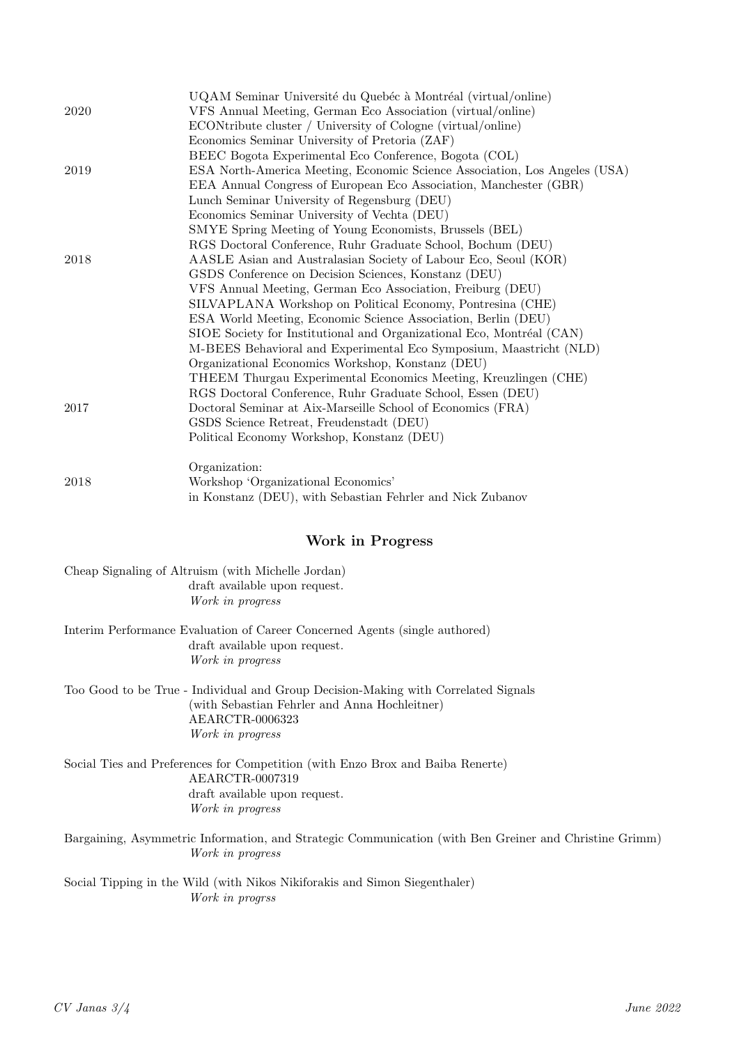|      | UQAM Seminar Université du Quebéc à Montréal (virtual/online)              |
|------|----------------------------------------------------------------------------|
| 2020 | VFS Annual Meeting, German Eco Association (virtual/online)                |
|      | ECONtribute cluster / University of Cologne (virtual/online)               |
|      | Economics Seminar University of Pretoria (ZAF)                             |
|      | BEEC Bogota Experimental Eco Conference, Bogota (COL)                      |
| 2019 | ESA North-America Meeting, Economic Science Association, Los Angeles (USA) |
|      | EEA Annual Congress of European Eco Association, Manchester (GBR)          |
|      | Lunch Seminar University of Regensburg (DEU)                               |
|      | Economics Seminar University of Vechta (DEU)                               |
|      | SMYE Spring Meeting of Young Economists, Brussels (BEL)                    |
|      | RGS Doctoral Conference, Ruhr Graduate School, Bochum (DEU)                |
| 2018 | AASLE Asian and Australasian Society of Labour Eco, Seoul (KOR)            |
|      | GSDS Conference on Decision Sciences, Konstanz (DEU)                       |
|      | VFS Annual Meeting, German Eco Association, Freiburg (DEU)                 |
|      | SILVAPLANA Workshop on Political Economy, Pontresina (CHE)                 |
|      | ESA World Meeting, Economic Science Association, Berlin (DEU)              |
|      | SIOE Society for Institutional and Organizational Eco, Montréal (CAN)      |
|      | M-BEES Behavioral and Experimental Eco Symposium, Maastricht (NLD)         |
|      | Organizational Economics Workshop, Konstanz (DEU)                          |
|      | THEEM Thurgau Experimental Economics Meeting, Kreuzlingen (CHE)            |
|      | RGS Doctoral Conference, Ruhr Graduate School, Essen (DEU)                 |
| 2017 | Doctoral Seminar at Aix-Marseille School of Economics (FRA)                |
|      | GSDS Science Retreat, Freudenstadt (DEU)                                   |
|      | Political Economy Workshop, Konstanz (DEU)                                 |
|      | Organization:                                                              |
| 2018 | Workshop 'Organizational Economics'                                        |
|      | in Konstanz (DEU), with Sebastian Fehrler and Nick Zubanov                 |

### Work in Progress

| Cheap Signaling of Altruism (with Michelle Jordan)<br>draft available upon request.<br>Work in progress                                                                    |
|----------------------------------------------------------------------------------------------------------------------------------------------------------------------------|
| Interim Performance Evaluation of Career Concerned Agents (single authored)<br>draft available upon request.<br>Work in progress                                           |
| Too Good to be True - Individual and Group Decision-Making with Correlated Signals<br>(with Sebastian Fehrler and Anna Hochleitner)<br>AEARCTR-0006323<br>Work in progress |
| Social Ties and Preferences for Competition (with Enzo Brox and Baiba Renerte)<br>AEARCTR-0007319<br>draft available upon request.<br>Work in progress                     |
| Bargaining, Asymmetric Information, and Strategic Communication (with Ben Greiner and Christine Grimm)<br>Work in progress                                                 |

Social Tipping in the Wild (with Nikos Nikiforakis and Simon Siegenthaler) Work in progrss